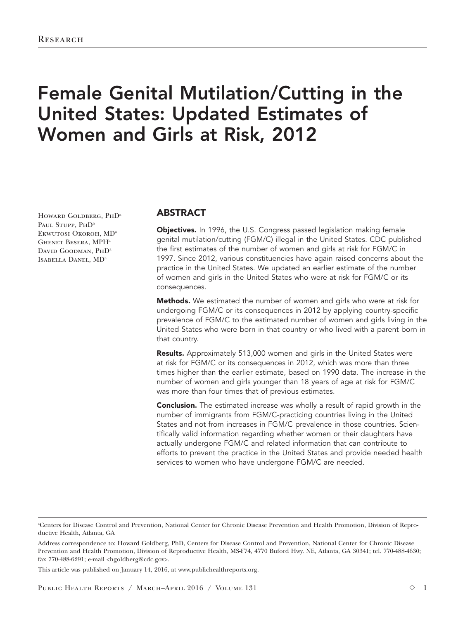# Female Genital Mutilation/Cutting in the United States: Updated Estimates of Women and Girls at Risk, 2012

HOWARD GOLDBERG, PHD<sup>a</sup> PAUL STUPP, PHD<sup>a</sup> EKWUTOSI OKOROH, MD<sup>a</sup> Ghenet Besera, MPHa DAVID GOODMAN, PHD<sup>a</sup> Isabella Danel, MDa

## ABSTRACT

Objectives. In 1996, the U.S. Congress passed legislation making female genital mutilation/cutting (FGM/C) illegal in the United States. CDC published the first estimates of the number of women and girls at risk for FGM/C in 1997. Since 2012, various constituencies have again raised concerns about the practice in the United States. We updated an earlier estimate of the number of women and girls in the United States who were at risk for FGM/C or its consequences.

Methods. We estimated the number of women and girls who were at risk for undergoing FGM/C or its consequences in 2012 by applying country-specific prevalence of FGM/C to the estimated number of women and girls living in the United States who were born in that country or who lived with a parent born in that country.

Results. Approximately 513,000 women and girls in the United States were at risk for FGM/C or its consequences in 2012, which was more than three times higher than the earlier estimate, based on 1990 data. The increase in the number of women and girls younger than 18 years of age at risk for FGM/C was more than four times that of previous estimates.

**Conclusion.** The estimated increase was wholly a result of rapid growth in the number of immigrants from FGM/C-practicing countries living in the United States and not from increases in FGM/C prevalence in those countries. Scientifically valid information regarding whether women or their daughters have actually undergone FGM/C and related information that can contribute to efforts to prevent the practice in the United States and provide needed health services to women who have undergone FGM/C are needed.

a Centers for Disease Control and Prevention, National Center for Chronic Disease Prevention and Health Promotion, Division of Reproductive Health, Atlanta, GA

Address correspondence to: Howard Goldberg, PhD, Centers for Disease Control and Prevention, National Center for Chronic Disease Prevention and Health Promotion, Division of Reproductive Health, MS-F74, 4770 Buford Hwy. NE, Atlanta, GA 30341; tel. 770-488-4630; fax 770-488-6291; e-mail <hgoldberg@cdc.gov>.

This article was published on January 14, 2016, at www.publichealthreports.org.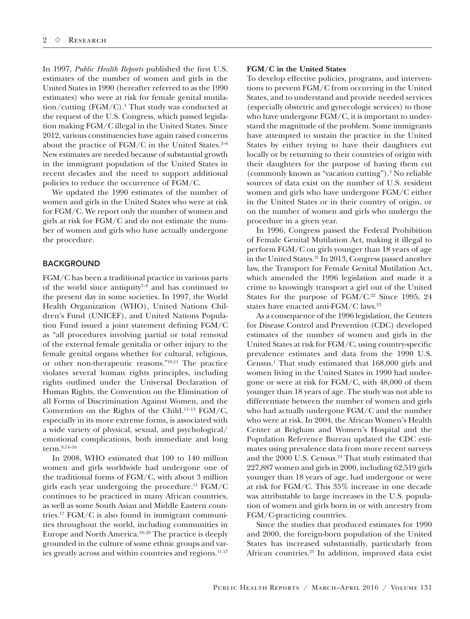In 1997, *Public Health Reports* published the first U.S. estimates of the number of women and girls in the United States in 1990 (hereafter referred to as the 1990 estimates) who were at risk for female genital mutilation/cutting (FGM/C).1 That study was conducted at the request of the U.S. Congress, which passed legislation making FGM/C illegal in the United States. Since 2012, various constituencies have again raised concerns about the practice of  $FGM/C$  in the United States.<sup>2–6</sup> New estimates are needed because of substantial growth in the immigrant population of the United States in recent decades and the need to support additional policies to reduce the occurrence of FGM/C.

We updated the 1990 estimates of the number of women and girls in the United States who were at risk for FGM/C. We report only the number of women and girls at risk for FGM/C and do not estimate the number of women and girls who have actually undergone the procedure.

## BACKGROUND

FGM/C has been a traditional practice in various parts of the world since antiquity<sup> $7-9$ </sup> and has continued to the present day in some societies. In 1997, the World Health Organization (WHO), United Nations Children's Fund (UNICEF), and United Nations Population Fund issued a joint statement defining FGM/C as "all procedures involving partial or total removal of the external female genitalia or other injury to the female genital organs whether for cultural, religious, or other non-therapeutic reasons."10,11 The practice violates several human rights principles, including rights outlined under the Universal Declaration of Human Rights, the Convention on the Elimination of all Forms of Discrimination Against Women, and the Convention on the Rights of the Child.11–13 FGM/C, especially in its more extreme forms, is associated with a wide variety of physical, sexual, and psychological/ emotional complications, both immediate and long term.8,14–16

In 2008, WHO estimated that 100 to 140 million women and girls worldwide had undergone one of the traditional forms of FGM/C, with about 3 million girls each year undergoing the procedure.<sup>11</sup>  $FGM/C$ continues to be practiced in many African countries, as well as some South Asian and Middle Eastern countries.<sup>17</sup> FGM/C is also found in immigrant communities throughout the world, including communities in Europe and North America.18–20 The practice is deeply grounded in the culture of some ethnic groups and varies greatly across and within countries and regions.<sup>11,17</sup>

#### **FGM/C in the United States**

To develop effective policies, programs, and interventions to prevent FGM/C from occurring in the United States, and to understand and provide needed services (especially obstetric and gynecologic services) to those who have undergone FGM/C, it is important to understand the magnitude of the problem. Some immigrants have attempted to sustain the practice in the United States by either trying to have their daughters cut locally or by returning to their countries of origin with their daughters for the purpose of having them cut (commonly known as "vacation cutting").3 No reliable sources of data exist on the number of U.S. resident women and girls who have undergone FGM/C either in the United States or in their country of origin, or on the number of women and girls who undergo the procedure in a given year.

In 1996, Congress passed the Federal Prohibition of Female Genital Mutilation Act, making it illegal to perform FGM/C on girls younger than 18 years of age in the United States.<sup>21</sup> In 2013, Congress passed another law, the Transport for Female Genital Mutilation Act, which amended the 1996 legislation and made it a crime to knowingly transport a girl out of the United States for the purpose of  $FGM/C.<sup>22</sup>$  Since 1995, 24 states have enacted anti-FGM/C laws.23

As a consequence of the 1996 legislation, the Centers for Disease Control and Prevention (CDC) developed estimates of the number of women and girls in the United States at risk for FGM/C, using country-specific prevalence estimates and data from the 1990 U.S. Census.1 That study estimated that 168,000 girls and women living in the United States in 1990 had undergone or were at risk for FGM/C, with 48,000 of them younger than 18 years of age. The study was not able to differentiate between the number of women and girls who had actually undergone FGM/C and the number who were at risk. In 2004, the African Women's Health Center at Brigham and Women's Hospital and the Population Reference Bureau updated the CDC estimates using prevalence data from more recent surveys and the 2000 U.S. Census.<sup>24</sup> That study estimated that 227,887 women and girls in 2000, including 62,519 girls younger than 18 years of age, had undergone or were at risk for FGM/C. This 35% increase in one decade was attributable to large increases in the U.S. population of women and girls born in or with ancestry from FGM/C-practicing countries.

Since the studies that produced estimates for 1990 and 2000, the foreign-born population of the United States has increased substantially, particularly from African countries.25 In addition, improved data exist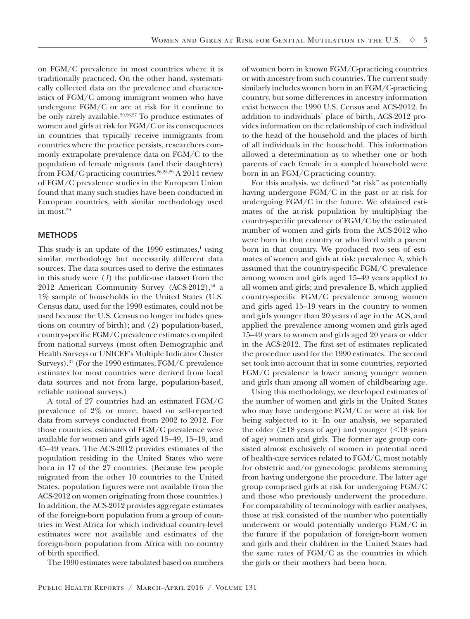on FGM/C prevalence in most countries where it is traditionally practiced. On the other hand, systematically collected data on the prevalence and characteristics of FGM/C among immigrant women who have undergone FGM/C or are at risk for it continue to be only rarely available.<sup>20,26,27</sup> To produce estimates of women and girls at risk for FGM/C or its consequences in countries that typically receive immigrants from countries where the practice persists, researchers commonly extrapolate prevalence data on FGM/C to the population of female migrants (and their daughters) from FGM/C-practicing countries.26,28,29 A 2014 review of FGM/C prevalence studies in the European Union found that many such studies have been conducted in European countries, with similar methodology used in most.29

## **METHODS**

This study is an update of the  $1990$  estimates,<sup>1</sup> using similar methodology but necessarily different data sources. The data sources used to derive the estimates in this study were (*1*) the public-use dataset from the 2012 American Community Survey (ACS-2012),<sup>30</sup> a 1% sample of households in the United States (U.S. Census data, used for the 1990 estimates, could not be used because the U.S. Census no longer includes questions on country of birth); and (*2*) population-based, country-specific FGM/C prevalence estimates compiled from national surveys (most often Demographic and Health Surveys or UNICEF's Multiple Indicator Cluster Surveys).31 (For the 1990 estimates, FGM/C prevalence estimates for most countries were derived from local data sources and not from large, population-based, reliable national surveys.)

A total of 27 countries had an estimated FGM/C prevalence of 2% or more, based on self-reported data from surveys conducted from 2002 to 2012. For those countries, estimates of FGM/C prevalence were available for women and girls aged 15–49, 15–19, and 45–49 years. The ACS-2012 provides estimates of the population residing in the United States who were born in 17 of the 27 countries. (Because few people migrated from the other 10 countries to the United States, population figures were not available from the ACS-2012 on women originating from those countries.) In addition, the ACS-2012 provides aggregate estimates of the foreign-born population from a group of countries in West Africa for which individual country-level estimates were not available and estimates of the foreign-born population from Africa with no country of birth specified.

The 1990 estimates were tabulated based on numbers

of women born in known FGM/C-practicing countries or with ancestry from such countries. The current study similarly includes women born in an FGM/C-practicing country, but some differences in ancestry information exist between the 1990 U.S. Census and ACS-2012. In addition to individuals' place of birth, ACS-2012 provides information on the relationship of each individual to the head of the household and the places of birth of all individuals in the household. This information allowed a determination as to whether one or both parents of each female in a sampled household were born in an FGM/C-practicing country.

For this analysis, we defined "at risk" as potentially having undergone FGM/C in the past or at risk for undergoing FGM/C in the future. We obtained estimates of the at-risk population by multiplying the country-specific prevalence of FGM/C by the estimated number of women and girls from the ACS-2012 who were born in that country or who lived with a parent born in that country. We produced two sets of estimates of women and girls at risk: prevalence A, which assumed that the country-specific FGM/C prevalence among women and girls aged 15–49 years applied to all women and girls; and prevalence B, which applied country-specific FGM/C prevalence among women and girls aged 15–19 years in the country to women and girls younger than 20 years of age in the ACS, and applied the prevalence among women and girls aged 15–49 years to women and girls aged 20 years or older in the ACS-2012. The first set of estimates replicated the procedure used for the 1990 estimates. The second set took into account that in some countries, reported FGM/C prevalence is lower among younger women and girls than among all women of childbearing age.

Using this methodology, we developed estimates of the number of women and girls in the United States who may have undergone FGM/C or were at risk for being subjected to it. In our analysis, we separated the older ( $\geq$ 18 years of age) and younger ( $\leq$ 18 years of age) women and girls. The former age group consisted almost exclusively of women in potential need of health-care services related to FGM/C, most notably for obstetric and/or gynecologic problems stemming from having undergone the procedure. The latter age group comprised girls at risk for undergoing FGM/C and those who previously underwent the procedure. For comparability of terminology with earlier analyses, those at risk consisted of the number who potentially underwent or would potentially undergo FGM/C in the future if the population of foreign-born women and girls and their children in the United States had the same rates of FGM/C as the countries in which the girls or their mothers had been born.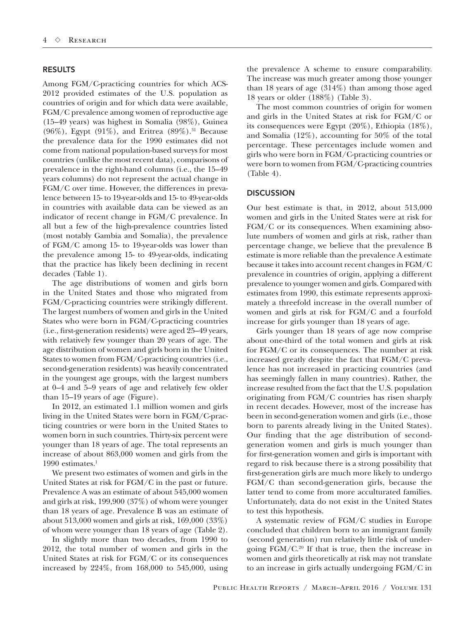#### RESULTS

Among FGM/C-practicing countries for which ACS-2012 provided estimates of the U.S. population as countries of origin and for which data were available, FGM/C prevalence among women of reproductive age (15–49 years) was highest in Somalia (98%), Guinea  $(96\%)$ , Egypt  $(91\%)$ , and Eritrea  $(89\%)$ .<sup>31</sup> Because the prevalence data for the 1990 estimates did not come from national population-based surveys for most countries (unlike the most recent data), comparisons of prevalence in the right-hand columns (i.e., the 15–49 years columns) do not represent the actual change in FGM/C over time. However, the differences in prevalence between 15- to 19-year-olds and 15- to 49-year-olds in countries with available data can be viewed as an indicator of recent change in FGM/C prevalence. In all but a few of the high-prevalence countries listed (most notably Gambia and Somalia), the prevalence of FGM/C among 15- to 19-year-olds was lower than the prevalence among 15- to 49-year-olds, indicating that the practice has likely been declining in recent decades (Table 1).

The age distributions of women and girls born in the United States and those who migrated from FGM/C-practicing countries were strikingly different. The largest numbers of women and girls in the United States who were born in FGM/C-practicing countries (i.e., first-generation residents) were aged 25–49 years, with relatively few younger than 20 years of age. The age distribution of women and girls born in the United States to women from FGM/C-practicing countries (i.e., second-generation residents) was heavily concentrated in the youngest age groups, with the largest numbers at 0–4 and 5–9 years of age and relatively few older than 15–19 years of age (Figure).

In 2012, an estimated 1.1 million women and girls living in the United States were born in FGM/C-practicing countries or were born in the United States to women born in such countries. Thirty-six percent were younger than 18 years of age. The total represents an increase of about 863,000 women and girls from the 1990 estimates. $1$ 

We present two estimates of women and girls in the United States at risk for FGM/C in the past or future. Prevalence A was an estimate of about 545,000 women and girls at risk, 199,900 (37%) of whom were younger than 18 years of age. Prevalence B was an estimate of about 513,000 women and girls at risk, 169,000 (33%) of whom were younger than 18 years of age (Table 2).

In slightly more than two decades, from 1990 to 2012, the total number of women and girls in the United States at risk for FGM/C or its consequences increased by 224%, from 168,000 to 545,000, using

the prevalence A scheme to ensure comparability. The increase was much greater among those younger than 18 years of age (314%) than among those aged 18 years or older (188%) (Table 3).

The most common countries of origin for women and girls in the United States at risk for FGM/C or its consequences were Egypt (20%), Ethiopia (18%), and Somalia (12%), accounting for 50% of the total percentage. These percentages include women and girls who were born in FGM/C-practicing countries or were born to women from FGM/C-practicing countries (Table 4).

## **DISCUSSION**

Our best estimate is that, in 2012, about 513,000 women and girls in the United States were at risk for FGM/C or its consequences. When examining absolute numbers of women and girls at risk, rather than percentage change, we believe that the prevalence B estimate is more reliable than the prevalence A estimate because it takes into account recent changes in FGM/C prevalence in countries of origin, applying a different prevalence to younger women and girls. Compared with estimates from 1990, this estimate represents approximately a threefold increase in the overall number of women and girls at risk for FGM/C and a fourfold increase for girls younger than 18 years of age.

Girls younger than 18 years of age now comprise about one-third of the total women and girls at risk for FGM/C or its consequences. The number at risk increased greatly despite the fact that FGM/C prevalence has not increased in practicing countries (and has seemingly fallen in many countries). Rather, the increase resulted from the fact that the U.S. population originating from FGM/C countries has risen sharply in recent decades. However, most of the increase has been in second-generation women and girls (i.e., those born to parents already living in the United States). Our finding that the age distribution of secondgeneration women and girls is much younger than for first-generation women and girls is important with regard to risk because there is a strong possibility that first-generation girls are much more likely to undergo FGM/C than second-generation girls, because the latter tend to come from more acculturated families. Unfortunately, data do not exist in the United States to test this hypothesis.

A systematic review of FGM/C studies in Europe concluded that children born to an immigrant family (second generation) run relatively little risk of undergoing  $FGM/C.<sup>20</sup>$  If that is true, then the increase in women and girls theoretically at risk may not translate to an increase in girls actually undergoing FGM/C in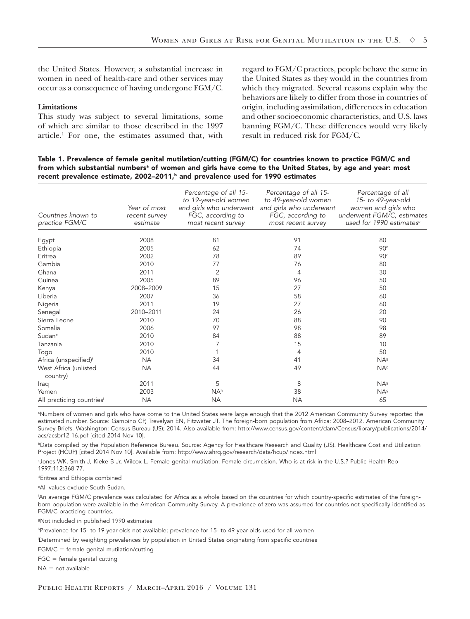the United States. However, a substantial increase in women in need of health-care and other services may occur as a consequence of having undergone FGM/C.

#### **Limitations**

This study was subject to several limitations, some of which are similar to those described in the 1997 article.1 For one, the estimates assumed that, with

regard to FGM/C practices, people behave the same in the United States as they would in the countries from which they migrated. Several reasons explain why the behaviors are likely to differ from those in countries of origin, including assimilation, differences in education and other socioeconomic characteristics, and U.S. laws banning FGM/C. These differences would very likely result in reduced risk for FGM/C.

Table 1. Prevalence of female genital mutilation/cutting (FGM/C) for countries known to practice FGM/C and from which substantial numbersª of women and girls have come to the United States, by age and year: most recent prevalence estimate, 2002–2011, $<sup>b</sup>$  and prevalence used for 1990 estimates</sup>

| Countries known to<br>practice FGM/C | Year of most<br>recent survey<br>estimate | Percentage of all 15-<br>to 19-year-old women<br>and girls who underwent<br>FGC, according to<br>most recent survey | Percentage of all 15-<br>to 49-year-old women<br>and girls who underwent<br>FGC, according to<br>most recent survey | Percentage of all<br>15- to 49-year-old<br>women and girls who<br>underwent FGM/C, estimates<br>used for 1990 estimates <sup>c</sup> |
|--------------------------------------|-------------------------------------------|---------------------------------------------------------------------------------------------------------------------|---------------------------------------------------------------------------------------------------------------------|--------------------------------------------------------------------------------------------------------------------------------------|
| Egypt                                | 2008                                      | 81                                                                                                                  | 91                                                                                                                  | 80                                                                                                                                   |
| Ethiopia                             | 2005                                      | 62                                                                                                                  | 74                                                                                                                  | 90 <sup>d</sup>                                                                                                                      |
| Eritrea                              | 2002                                      | 78                                                                                                                  | 89                                                                                                                  | 90 <sup>d</sup>                                                                                                                      |
| Gambia                               | 2010                                      | 77                                                                                                                  | 76                                                                                                                  | 80                                                                                                                                   |
| Ghana                                | 2011                                      | $\overline{2}$                                                                                                      | 4                                                                                                                   | 30                                                                                                                                   |
| Guinea                               | 2005                                      | 89                                                                                                                  | 96                                                                                                                  | 50                                                                                                                                   |
| Kenya                                | 2008-2009                                 | 15                                                                                                                  | 27                                                                                                                  | 50                                                                                                                                   |
| Liberia                              | 2007                                      | 36                                                                                                                  | 58                                                                                                                  | 60                                                                                                                                   |
| Nigeria                              | 2011                                      | 19                                                                                                                  | 27                                                                                                                  | 60                                                                                                                                   |
| Senegal                              | 2010-2011                                 | 24                                                                                                                  | 26                                                                                                                  | 20                                                                                                                                   |
| Sierra Leone                         | 2010                                      | 70                                                                                                                  | 88                                                                                                                  | 90                                                                                                                                   |
| Somalia                              | 2006                                      | 97                                                                                                                  | 98                                                                                                                  | 98                                                                                                                                   |
| Sudan <sup>e</sup>                   | 2010                                      | 84                                                                                                                  | 88                                                                                                                  | 89                                                                                                                                   |
| Tanzania                             | 2010                                      | 7                                                                                                                   | 15                                                                                                                  | 10                                                                                                                                   |
| Togo                                 | 2010                                      |                                                                                                                     | 4                                                                                                                   | 50                                                                                                                                   |
| Africa (unspecified) <sup>f</sup>    | <b>NA</b>                                 | 34                                                                                                                  | 41                                                                                                                  | <b>NA</b> <sup>g</sup>                                                                                                               |
| West Africa (unlisted<br>country)    | <b>NA</b>                                 | 44                                                                                                                  | 49                                                                                                                  | <b>NA</b> <sup>g</sup>                                                                                                               |
| Iraq                                 | 2011                                      | 5                                                                                                                   | 8                                                                                                                   | <b>NA</b> <sup>g</sup>                                                                                                               |
| Yemen                                | 2003                                      | <b>NAh</b>                                                                                                          | 38                                                                                                                  | <b>NA</b> <sup>g</sup>                                                                                                               |
| All practicing countries'            | <b>NA</b>                                 | <b>NA</b>                                                                                                           | <b>NA</b>                                                                                                           | 65                                                                                                                                   |

a Numbers of women and girls who have come to the United States were large enough that the 2012 American Community Survey reported the estimated number. Source: Gambino CP, Trevelyan EN, Fitzwater JT. The foreign-born population from Africa: 2008–2012. American Community Survey Briefs. Washington: Census Bureau (US); 2014. Also available from: http://www.census.gov/content/dam/Census/library/publications/2014/ acs/acsbr12-16.pdf [cited 2014 Nov 10].

bData compiled by the Population Reference Bureau. Source: Agency for Healthcare Research and Quality (US). Healthcare Cost and Utilization Project (HCUP) [cited 2014 Nov 10]. Available from: http://www.ahrq.gov/research/data/hcup/index.html

c Jones WK, Smith J, Kieke B Jr, Wilcox L. Female genital mutilation. Female circumcision. Who is at risk in the U.S.? Public Health Rep 1997;112:368-77.

dEritrea and Ethiopia combined

e All values exclude South Sudan.

f An average FGM/C prevalence was calculated for Africa as a whole based on the countries for which country-specific estimates of the foreignborn population were available in the American Community Survey. A prevalence of zero was assumed for countries not specifically identified as FGM/C-practicing countries.

gNot included in published 1990 estimates

h Prevalence for 15- to 19-year-olds not available; prevalence for 15- to 49-year-olds used for all women

i Determined by weighting prevalences by population in United States originating from specific countries

 $FGM/C = female$  qenital mutilation/cutting

 $FGC = female$  genital cutting

 $NA = not available$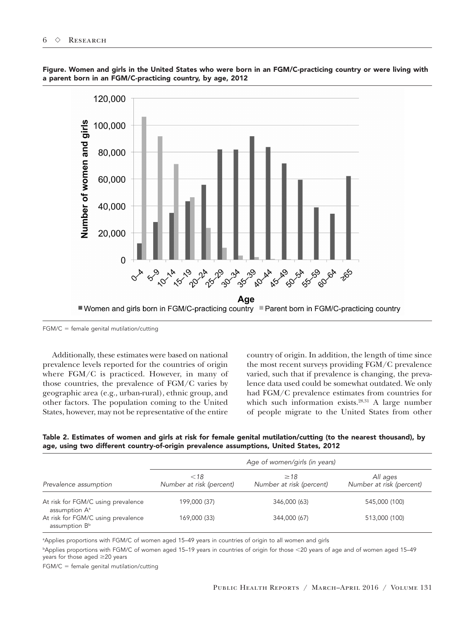Figure. Women and girls in the United States who were born in an FGM/C-practicing country or were living with a parent born in an FGM/C-practicing country, by age, 2012



 $FGM/C = female$  genital mutilation/cutting

Additionally, these estimates were based on national prevalence levels reported for the countries of origin where FGM/C is practiced. However, in many of those countries, the prevalence of FGM/C varies by geographic area (e.g., urban-rural), ethnic group, and other factors. The population coming to the United States, however, may not be representative of the entire country of origin. In addition, the length of time since the most recent surveys providing FGM/C prevalence varied, such that if prevalence is changing, the prevalence data used could be somewhat outdated. We only had FGM/C prevalence estimates from countries for which such information exists. $28,31$  A large number of people migrate to the United States from other

Table 2. Estimates of women and girls at risk for female genital mutilation/cutting (to the nearest thousand), by age, using two different country-of-origin prevalence assumptions, United States, 2012

|                                                                 | Age of women/girls (in years)    |                                       |                                      |  |
|-----------------------------------------------------------------|----------------------------------|---------------------------------------|--------------------------------------|--|
| Prevalence assumption                                           | < 18<br>Number at risk (percent) | $\geq$ 18<br>Number at risk (percent) | All ages<br>Number at risk (percent) |  |
| At risk for FGM/C using prevalence<br>assumption A <sup>a</sup> | 199,000 (37)                     | 346,000 (63)                          | 545,000 (100)                        |  |
| At risk for FGM/C using prevalence<br>assumption B <sup>b</sup> | 169,000 (33)                     | 344,000 (67)                          | 513,000 (100)                        |  |

a Applies proportions with FGM/C of women aged 15–49 years in countries of origin to all women and girls

bApplies proportions with FGM/C of women aged 15-19 years in countries of origin for those <20 years of age and of women aged 15-49 years for those aged  $\geq$ 20 years

 $FGM/C = female$  genital mutilation/cutting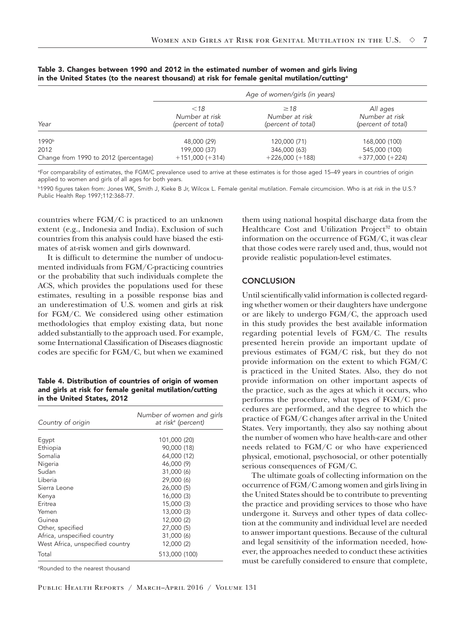|                                       | Age of women/girls (in years)                |                                                   |                                                  |  |
|---------------------------------------|----------------------------------------------|---------------------------------------------------|--------------------------------------------------|--|
| Year                                  | < 18<br>Number at risk<br>(percent of total) | $\geq$ 18<br>Number at risk<br>(percent of total) | All ages<br>Number at risk<br>(percent of total) |  |
| 1990b                                 | 48,000 (29)                                  | 120,000 (71)                                      | 168,000 (100)                                    |  |
| 2012                                  | 199,000 (37)                                 | 346,000 (63)                                      | 545,000 (100)                                    |  |
| Change from 1990 to 2012 (percentage) | $+151,000 (+314)$                            | $+226,000 (+188)$                                 | $+377,000 (+224)$                                |  |

Table 3. Changes between 1990 and 2012 in the estimated number of women and girls living in the United States (to the nearest thousand) at risk for female genital mutilation/cutting<sup>a</sup>

a For comparability of estimates, the FGM/C prevalence used to arrive at these estimates is for those aged 15–49 years in countries of origin applied to women and girls of all ages for both years.

b1990 figures taken from: Jones WK, Smith J, Kieke B Jr, Wilcox L. Female genital mutilation. Female circumcision. Who is at risk in the U.S.? Public Health Rep 1997;112:368-77.

countries where FGM/C is practiced to an unknown extent (e.g., Indonesia and India). Exclusion of such countries from this analysis could have biased the estimates of at-risk women and girls downward.

It is difficult to determine the number of undocumented individuals from FGM/C-practicing countries or the probability that such individuals complete the ACS, which provides the populations used for these estimates, resulting in a possible response bias and an underestimation of U.S. women and girls at risk for FGM/C. We considered using other estimation methodologies that employ existing data, but none added substantially to the approach used. For example, some International Classification of Diseases diagnostic codes are specific for FGM/C, but when we examined

Table 4. Distribution of countries of origin of women and girls at risk for female genital mutilation/cutting in the United States, 2012

| Number of women and girls<br>at risk <sup>a</sup> (percent) |
|-------------------------------------------------------------|
| 101,000 (20)                                                |
| 90,000 (18)                                                 |
| 64,000 (12)                                                 |
| 46,000 (9)                                                  |
| 31,000 (6)                                                  |
| 29,000 (6)                                                  |
| 26,000 (5)                                                  |
| 16,000 (3)                                                  |
| 15,000 (3)                                                  |
| 13,000 (3)                                                  |
| 12,000 (2)                                                  |
| 27,000 (5)                                                  |
| 31,000 (6)                                                  |
| 12,000 (2)                                                  |
| 513,000 (100)                                               |
|                                                             |

a Rounded to the nearest thousand

them using national hospital discharge data from the Healthcare Cost and Utilization Project<sup>32</sup> to obtain information on the occurrence of FGM/C, it was clear that those codes were rarely used and, thus, would not provide realistic population-level estimates.

## **CONCLUSION**

Until scientifically valid information is collected regarding whether women or their daughters have undergone or are likely to undergo FGM/C, the approach used in this study provides the best available information regarding potential levels of FGM/C. The results presented herein provide an important update of previous estimates of FGM/C risk, but they do not provide information on the extent to which FGM/C is practiced in the United States. Also, they do not provide information on other important aspects of the practice, such as the ages at which it occurs, who performs the procedure, what types of FGM/C procedures are performed, and the degree to which the practice of FGM/C changes after arrival in the United States. Very importantly, they also say nothing about the number of women who have health-care and other needs related to FGM/C or who have experienced physical, emotional, psychosocial, or other potentially serious consequences of FGM/C.

The ultimate goals of collecting information on the occurrence of FGM/C among women and girls living in the United States should be to contribute to preventing the practice and providing services to those who have undergone it. Surveys and other types of data collection at the community and individual level are needed to answer important questions. Because of the cultural and legal sensitivity of the information needed, however, the approaches needed to conduct these activities must be carefully considered to ensure that complete,